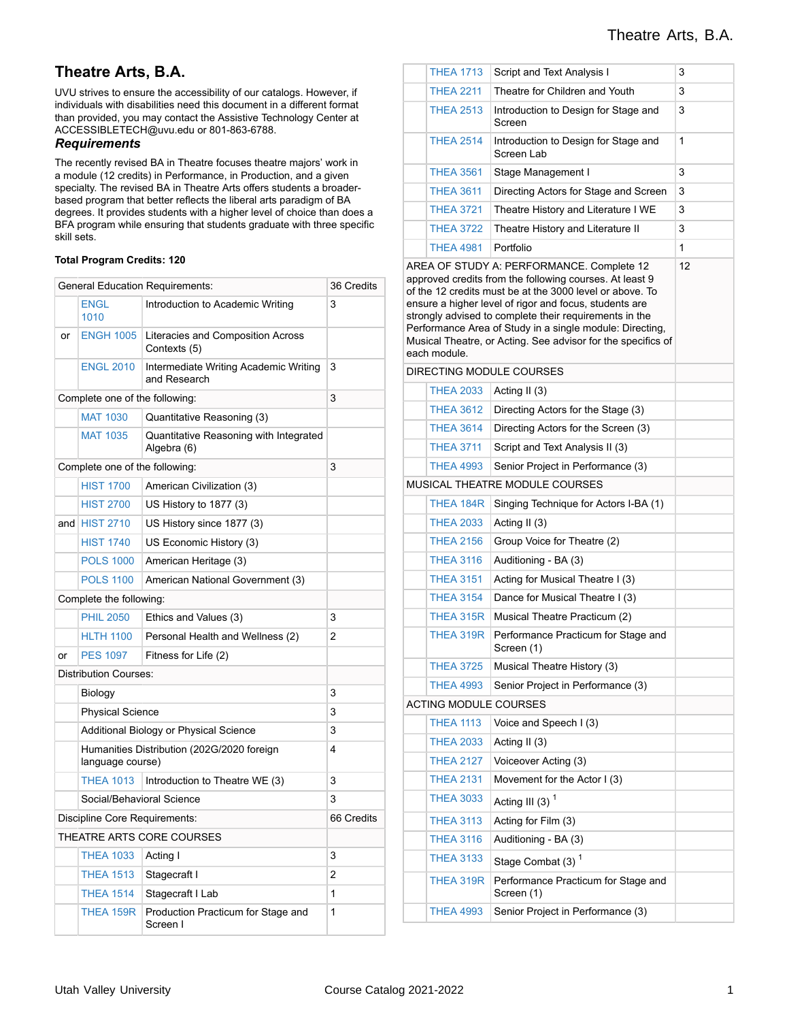# **Theatre Arts, B.A.**

UVU strives to ensure the accessibility of our catalogs. However, if individuals with disabilities need this document in a different format than provided, you may contact the Assistive Technology Center at ACCESSIBLETECH@uvu.edu or 801-863-6788.

### *Requirements*

The recently revised BA in Theatre focuses theatre majors' work in a module (12 credits) in Performance, in Production, and a given specialty. The revised BA in Theatre Arts offers students a broaderbased program that better reflects the liberal arts paradigm of BA degrees. It provides students with a higher level of choice than does a BFA program while ensuring that students graduate with three specific skill sets.

#### **Total Program Credits: 120**

| <b>General Education Requirements:</b> | 36 Credits                                                     |                                                       |   |
|----------------------------------------|----------------------------------------------------------------|-------------------------------------------------------|---|
|                                        | ENGL<br>1010                                                   | Introduction to Academic Writing                      | 3 |
| or                                     | <b>ENGH 1005</b>                                               | Literacies and Composition Across<br>Contexts (5)     |   |
|                                        | <b>ENGL 2010</b>                                               | Intermediate Writing Academic Writing<br>and Research | 3 |
|                                        | Complete one of the following:                                 |                                                       | 3 |
|                                        | <b>MAT 1030</b><br>Quantitative Reasoning (3)                  |                                                       |   |
|                                        | <b>MAT 1035</b>                                                | Quantitative Reasoning with Integrated<br>Algebra (6) |   |
|                                        | Complete one of the following:                                 |                                                       | 3 |
|                                        | <b>HIST 1700</b>                                               | American Civilization (3)                             |   |
|                                        | <b>HIST 2700</b>                                               | US History to 1877 (3)                                |   |
| and                                    | <b>HIST 2710</b>                                               | US History since 1877 (3)                             |   |
|                                        | <b>HIST 1740</b>                                               | US Economic History (3)                               |   |
|                                        | <b>POLS 1000</b>                                               | American Heritage (3)                                 |   |
|                                        | <b>POLS 1100</b>                                               | American National Government (3)                      |   |
|                                        | Complete the following:                                        |                                                       |   |
|                                        | <b>PHIL 2050</b>                                               | Ethics and Values (3)                                 | 3 |
|                                        | <b>HLTH 1100</b>                                               | Personal Health and Wellness (2)                      | 2 |
| or                                     | <b>PES 1097</b>                                                | Fitness for Life (2)                                  |   |
|                                        | <b>Distribution Courses:</b>                                   |                                                       |   |
|                                        | Biology                                                        |                                                       | 3 |
|                                        | <b>Physical Science</b>                                        |                                                       | 3 |
|                                        |                                                                | Additional Biology or Physical Science                | 3 |
|                                        | Humanities Distribution (202G/2020 foreign<br>language course) | 4                                                     |   |
|                                        | <b>THEA 1013</b>                                               | Introduction to Theatre WE (3)                        | 3 |
|                                        | Social/Behavioral Science                                      |                                                       | 3 |
| Discipline Core Requirements:          | 66 Credits                                                     |                                                       |   |
|                                        |                                                                | THEATRE ARTS CORE COURSES                             |   |
|                                        | <b>THEA 1033</b>                                               | Acting I                                              | 3 |
|                                        | <b>THEA 1513</b>                                               | Stagecraft I                                          | 2 |
|                                        | <b>THEA 1514</b>                                               | Stagecraft I Lab                                      | 1 |
|                                        | THEA 159R                                                      | Production Practicum for Stage and<br>Screen I        | 1 |

|                                                                                                                                                                                                                                                                                                                                                                                                                                  | <b>THEA 1713</b>                                               | 3                                                   |   |  |  |
|----------------------------------------------------------------------------------------------------------------------------------------------------------------------------------------------------------------------------------------------------------------------------------------------------------------------------------------------------------------------------------------------------------------------------------|----------------------------------------------------------------|-----------------------------------------------------|---|--|--|
|                                                                                                                                                                                                                                                                                                                                                                                                                                  | <b>THEA 2211</b>                                               | Theatre for Children and Youth                      |   |  |  |
|                                                                                                                                                                                                                                                                                                                                                                                                                                  | <b>THEA 2513</b>                                               | 3                                                   |   |  |  |
|                                                                                                                                                                                                                                                                                                                                                                                                                                  | <b>THEA 2514</b>                                               | Introduction to Design for Stage and<br>Screen Lab  | 1 |  |  |
|                                                                                                                                                                                                                                                                                                                                                                                                                                  | <b>THEA 3561</b>                                               | Stage Management I                                  | 3 |  |  |
|                                                                                                                                                                                                                                                                                                                                                                                                                                  | <b>THEA 3611</b>                                               | Directing Actors for Stage and Screen               | 3 |  |  |
|                                                                                                                                                                                                                                                                                                                                                                                                                                  | <b>THEA 3721</b>                                               | Theatre History and Literature I WE                 | 3 |  |  |
|                                                                                                                                                                                                                                                                                                                                                                                                                                  | <b>THEA 3722</b>                                               | Theatre History and Literature II                   | 3 |  |  |
|                                                                                                                                                                                                                                                                                                                                                                                                                                  | <b>THEA 4981</b>                                               | Portfolio                                           | 1 |  |  |
| AREA OF STUDY A: PERFORMANCE. Complete 12<br>approved credits from the following courses. At least 9<br>of the 12 credits must be at the 3000 level or above. To<br>ensure a higher level of rigor and focus, students are<br>strongly advised to complete their requirements in the<br>Performance Area of Study in a single module: Directing,<br>Musical Theatre, or Acting. See advisor for the specifics of<br>each module. | 12                                                             |                                                     |   |  |  |
|                                                                                                                                                                                                                                                                                                                                                                                                                                  |                                                                | DIRECTING MODULE COURSES                            |   |  |  |
|                                                                                                                                                                                                                                                                                                                                                                                                                                  | <b>THEA 2033</b>                                               | Acting II (3)<br>Directing Actors for the Stage (3) |   |  |  |
|                                                                                                                                                                                                                                                                                                                                                                                                                                  | <b>THEA 3612</b>                                               |                                                     |   |  |  |
|                                                                                                                                                                                                                                                                                                                                                                                                                                  | <b>THEA 3614</b>                                               |                                                     |   |  |  |
|                                                                                                                                                                                                                                                                                                                                                                                                                                  | <b>THEA 3711</b>                                               | Script and Text Analysis II (3)                     |   |  |  |
|                                                                                                                                                                                                                                                                                                                                                                                                                                  | <b>THEA 4993</b>                                               | Senior Project in Performance (3)                   |   |  |  |
|                                                                                                                                                                                                                                                                                                                                                                                                                                  |                                                                | MUSICAL THEATRE MODULE COURSES                      |   |  |  |
|                                                                                                                                                                                                                                                                                                                                                                                                                                  | THEA 184R                                                      | Singing Technique for Actors I-BA (1)               |   |  |  |
|                                                                                                                                                                                                                                                                                                                                                                                                                                  | <b>THEA 2033</b><br>Acting II $(3)$                            |                                                     |   |  |  |
|                                                                                                                                                                                                                                                                                                                                                                                                                                  | <b>THEA 2156</b><br>Group Voice for Theatre (2)                |                                                     |   |  |  |
|                                                                                                                                                                                                                                                                                                                                                                                                                                  | <b>THEA 3116</b>                                               | Auditioning - BA (3)                                |   |  |  |
|                                                                                                                                                                                                                                                                                                                                                                                                                                  | <b>THEA 3151</b>                                               | Acting for Musical Theatre I (3)                    |   |  |  |
|                                                                                                                                                                                                                                                                                                                                                                                                                                  | <b>THEA 3154</b>                                               | Dance for Musical Theatre I (3)                     |   |  |  |
|                                                                                                                                                                                                                                                                                                                                                                                                                                  | THEA 315R                                                      | Musical Theatre Practicum (2)                       |   |  |  |
|                                                                                                                                                                                                                                                                                                                                                                                                                                  | THEA 319R<br>Performance Practicum for Stage and<br>Screen (1) |                                                     |   |  |  |
|                                                                                                                                                                                                                                                                                                                                                                                                                                  | <b>THEA 3725</b>                                               | Musical Theatre History (3)                         |   |  |  |
|                                                                                                                                                                                                                                                                                                                                                                                                                                  | <b>THEA 4993</b>                                               | Senior Project in Performance (3)                   |   |  |  |
|                                                                                                                                                                                                                                                                                                                                                                                                                                  | <b>ACTING MODULE COURSES</b>                                   |                                                     |   |  |  |
|                                                                                                                                                                                                                                                                                                                                                                                                                                  | <b>THEA 1113</b>                                               | Voice and Speech I (3)                              |   |  |  |
|                                                                                                                                                                                                                                                                                                                                                                                                                                  | <b>THEA 2033</b>                                               | Acting II (3)                                       |   |  |  |
|                                                                                                                                                                                                                                                                                                                                                                                                                                  | <b>THEA 2127</b>                                               | Voiceover Acting (3)                                |   |  |  |
|                                                                                                                                                                                                                                                                                                                                                                                                                                  | <b>THEA 2131</b>                                               | Movement for the Actor I (3)                        |   |  |  |
|                                                                                                                                                                                                                                                                                                                                                                                                                                  | <b>THEA 3033</b>                                               | Acting III (3) $1$                                  |   |  |  |
|                                                                                                                                                                                                                                                                                                                                                                                                                                  | <b>THEA 3113</b>                                               | Acting for Film (3)                                 |   |  |  |
|                                                                                                                                                                                                                                                                                                                                                                                                                                  | <b>THEA 3116</b>                                               | Auditioning - BA (3)                                |   |  |  |
|                                                                                                                                                                                                                                                                                                                                                                                                                                  | <b>THEA 3133</b><br>Stage Combat $(3)$ <sup>1</sup>            |                                                     |   |  |  |
|                                                                                                                                                                                                                                                                                                                                                                                                                                  | THEA 319R                                                      | Performance Practicum for Stage and<br>Screen (1)   |   |  |  |
|                                                                                                                                                                                                                                                                                                                                                                                                                                  | <b>THEA 4993</b>                                               | Senior Project in Performance (3)                   |   |  |  |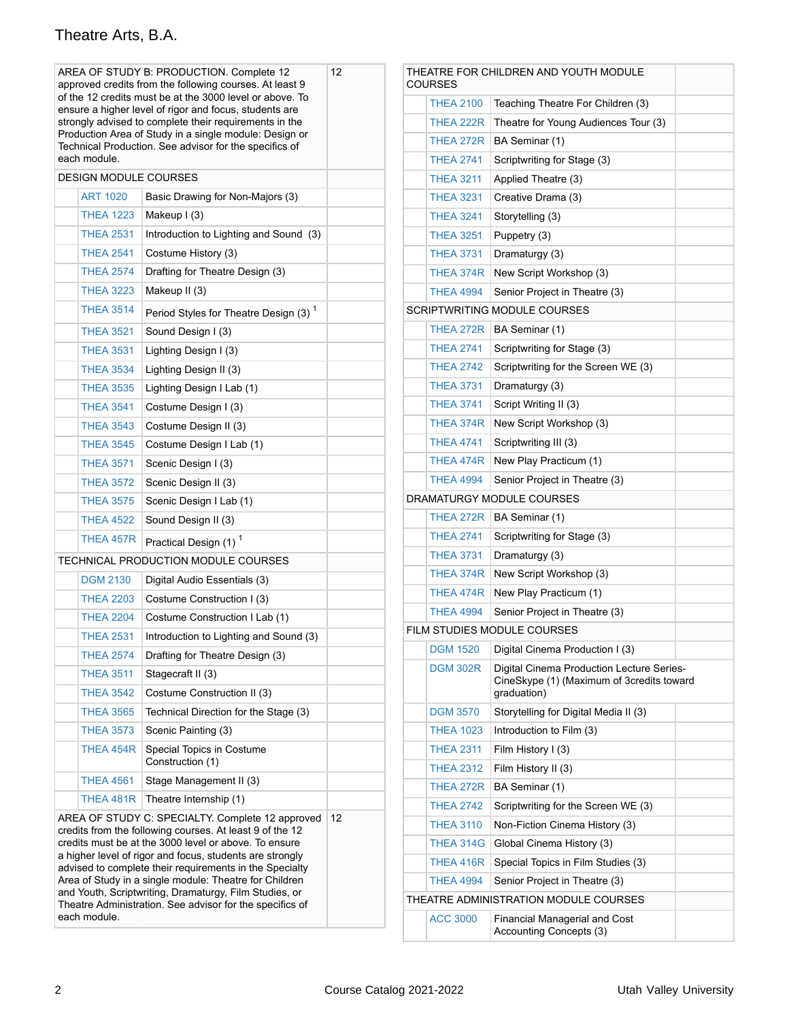# Theatre Arts, B.A.

| AREA OF STUDY B: PRODUCTION. Complete 12<br>approved credits from the following courses. At least 9               | 12                                                                                                               | THEATRE FOR CHILDREN AND YOUTH MODULE<br><b>COURSES</b> |                  |                                                          |                                                                                        |  |
|-------------------------------------------------------------------------------------------------------------------|------------------------------------------------------------------------------------------------------------------|---------------------------------------------------------|------------------|----------------------------------------------------------|----------------------------------------------------------------------------------------|--|
| of the 12 credits must be at the 3000 level or above. To                                                          |                                                                                                                  |                                                         | <b>THEA 2100</b> | Teaching Theatre For Children (3)                        |                                                                                        |  |
|                                                                                                                   | ensure a higher level of rigor and focus, students are<br>strongly advised to complete their requirements in the |                                                         |                  | THEA 222R                                                | Theatre for Young Audiences Tour (3)                                                   |  |
| Production Area of Study in a single module: Design or<br>Technical Production. See advisor for the specifics of  |                                                                                                                  |                                                         | THEA 272R        | BA Seminar (1)                                           |                                                                                        |  |
| each module.                                                                                                      |                                                                                                                  |                                                         |                  | <b>THEA 2741</b>                                         | Scriptwriting for Stage (3)                                                            |  |
|                                                                                                                   | <b>DESIGN MODULE COURSES</b>                                                                                     |                                                         |                  | <b>THEA 3211</b>                                         | Applied Theatre (3)                                                                    |  |
| <b>ART 1020</b>                                                                                                   | Basic Drawing for Non-Majors (3)                                                                                 |                                                         |                  | <b>THEA 3231</b>                                         | Creative Drama (3)                                                                     |  |
| <b>THEA 1223</b>                                                                                                  | Makeup I (3)                                                                                                     |                                                         |                  | <b>THEA 3241</b>                                         | Storytelling (3)                                                                       |  |
| <b>THEA 2531</b>                                                                                                  | Introduction to Lighting and Sound (3)                                                                           |                                                         |                  | <b>THEA 3251</b>                                         | Puppetry (3)                                                                           |  |
| <b>THEA 2541</b>                                                                                                  | Costume History (3)                                                                                              |                                                         |                  | <b>THEA 3731</b>                                         | Dramaturgy (3)                                                                         |  |
| <b>THEA 2574</b>                                                                                                  | Drafting for Theatre Design (3)                                                                                  |                                                         |                  | THEA 374R                                                | New Script Workshop (3)                                                                |  |
| <b>THEA 3223</b>                                                                                                  | Makeup II (3)                                                                                                    |                                                         |                  | <b>THEA 4994</b>                                         | Senior Project in Theatre (3)                                                          |  |
| <b>THEA 3514</b>                                                                                                  | Period Styles for Theatre Design (3) <sup>1</sup>                                                                |                                                         |                  |                                                          | SCRIPTWRITING MODULE COURSES                                                           |  |
| <b>THEA 3521</b>                                                                                                  | Sound Design I (3)                                                                                               |                                                         |                  | THEA 272R                                                | BA Seminar (1)                                                                         |  |
| <b>THEA 3531</b>                                                                                                  | Lighting Design I (3)                                                                                            |                                                         |                  | <b>THEA 2741</b>                                         | Scriptwriting for Stage (3)                                                            |  |
| <b>THEA 3534</b>                                                                                                  | Lighting Design II (3)                                                                                           |                                                         |                  | <b>THEA 2742</b>                                         | Scriptwriting for the Screen WE (3)                                                    |  |
| <b>THEA 3535</b>                                                                                                  | Lighting Design I Lab (1)                                                                                        |                                                         |                  | <b>THEA 3731</b>                                         | Dramaturgy (3)                                                                         |  |
| <b>THEA 3541</b>                                                                                                  | Costume Design I (3)                                                                                             |                                                         |                  | <b>THEA 3741</b>                                         | Script Writing II (3)                                                                  |  |
| <b>THEA 3543</b>                                                                                                  | Costume Design II (3)                                                                                            |                                                         |                  | THEA 374R                                                | New Script Workshop (3)                                                                |  |
| <b>THEA 3545</b>                                                                                                  | Costume Design I Lab (1)                                                                                         |                                                         |                  | <b>THEA 4741</b>                                         | Scriptwriting III (3)                                                                  |  |
| <b>THEA 3571</b>                                                                                                  | Scenic Design I (3)                                                                                              |                                                         |                  | THEA 474R                                                | New Play Practicum (1)                                                                 |  |
| <b>THEA 3572</b>                                                                                                  | Scenic Design II (3)                                                                                             |                                                         |                  | <b>THEA 4994</b>                                         | Senior Project in Theatre (3)                                                          |  |
| <b>THEA 3575</b>                                                                                                  | Scenic Design I Lab (1)                                                                                          |                                                         |                  |                                                          | DRAMATURGY MODULE COURSES                                                              |  |
| <b>THEA 4522</b>                                                                                                  | Sound Design II (3)                                                                                              |                                                         |                  | THEA 272R                                                | BA Seminar (1)                                                                         |  |
| THEA 457R                                                                                                         | Practical Design (1) <sup>1</sup>                                                                                |                                                         |                  | <b>THEA 2741</b>                                         | Scriptwriting for Stage (3)                                                            |  |
|                                                                                                                   | TECHNICAL PRODUCTION MODULE COURSES                                                                              |                                                         |                  | <b>THEA 3731</b>                                         | Dramaturgy (3)                                                                         |  |
| <b>DGM 2130</b>                                                                                                   | Digital Audio Essentials (3)                                                                                     |                                                         |                  | THEA 374R                                                | New Script Workshop (3)                                                                |  |
| <b>THEA 2203</b>                                                                                                  | Costume Construction I (3)                                                                                       |                                                         |                  | THEA 474R                                                | New Play Practicum (1)                                                                 |  |
| <b>THEA 2204</b>                                                                                                  | Costume Construction I Lab (1)                                                                                   |                                                         |                  | <b>THEA 4994</b>                                         | Senior Project in Theatre (3)                                                          |  |
| <b>THEA 2531</b>                                                                                                  | Introduction to Lighting and Sound (3)                                                                           |                                                         |                  |                                                          | FILM STUDIES MODULE COURSES                                                            |  |
| <b>THEA 2574</b>                                                                                                  | Drafting for Theatre Design (3)                                                                                  |                                                         |                  | <b>DGM 1520</b>                                          | Digital Cinema Production I (3)                                                        |  |
| <b>THEA 3511</b>                                                                                                  | Stagecraft II (3)                                                                                                |                                                         |                  | <b>DGM 302R</b>                                          | Digital Cinema Production Lecture Series-<br>CineSkype (1) (Maximum of 3credits toward |  |
| <b>THEA 3542</b>                                                                                                  | Costume Construction II (3)                                                                                      |                                                         |                  |                                                          | graduation)                                                                            |  |
| <b>THEA 3565</b>                                                                                                  | Technical Direction for the Stage (3)                                                                            |                                                         |                  | <b>DGM 3570</b>                                          | Storytelling for Digital Media II (3)                                                  |  |
| <b>THEA 3573</b>                                                                                                  | Scenic Painting (3)                                                                                              |                                                         |                  | <b>THEA 1023</b>                                         | Introduction to Film (3)                                                               |  |
| THEA 454R                                                                                                         | Special Topics in Costume                                                                                        |                                                         |                  | <b>THEA 2311</b>                                         | Film History I (3)                                                                     |  |
| <b>THEA 4561</b>                                                                                                  | Construction (1)<br>Stage Management II (3)                                                                      |                                                         |                  | <b>THEA 2312</b>                                         | Film History II (3)                                                                    |  |
|                                                                                                                   | Theatre Internship (1)                                                                                           |                                                         |                  | THEA 272R                                                | BA Seminar (1)                                                                         |  |
| THEA 481R<br>AREA OF STUDY C: SPECIALTY. Complete 12 approved                                                     |                                                                                                                  | 12                                                      |                  | <b>THEA 2742</b>                                         | Scriptwriting for the Screen WE (3)                                                    |  |
|                                                                                                                   | credits from the following courses. At least 9 of the 12                                                         |                                                         |                  | <b>THEA 3110</b>                                         | Non-Fiction Cinema History (3)                                                         |  |
| credits must be at the 3000 level or above. To ensure<br>a higher level of rigor and focus, students are strongly |                                                                                                                  |                                                         | <b>THEA 314G</b> | Global Cinema History (3)                                |                                                                                        |  |
| advised to complete their requirements in the Specialty                                                           |                                                                                                                  |                                                         | THEA 416R        | Special Topics in Film Studies (3)                       |                                                                                        |  |
| Area of Study in a single module: Theatre for Children<br>and Youth, Scriptwriting, Dramaturgy, Film Studies, or  |                                                                                                                  |                                                         | <b>THEA 4994</b> | Senior Project in Theatre (3)                            |                                                                                        |  |
| Theatre Administration. See advisor for the specifics of                                                          |                                                                                                                  | THEATRE ADMINISTRATION MODULE COURSES                   |                  |                                                          |                                                                                        |  |
| each module.                                                                                                      |                                                                                                                  |                                                         | <b>ACC 3000</b>  | Financial Managerial and Cost<br>Accounting Concepts (3) |                                                                                        |  |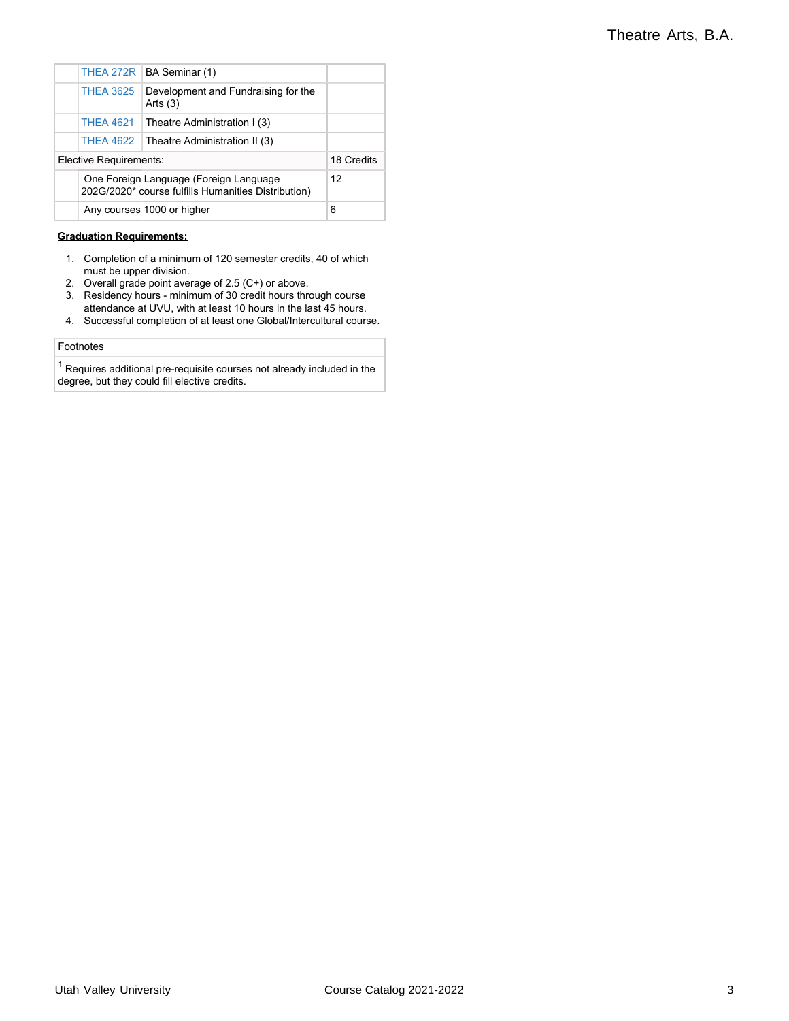|                        |                                                                                               | THEA 272R   BA Seminar (1)                        |            |
|------------------------|-----------------------------------------------------------------------------------------------|---------------------------------------------------|------------|
|                        | <b>THEA 3625</b>                                                                              | Development and Fundraising for the<br>Arts $(3)$ |            |
|                        | <b>THEA 4621</b>                                                                              | Theatre Administration I (3)                      |            |
|                        | <b>THEA 4622</b>                                                                              | Theatre Administration II (3)                     |            |
| Elective Requirements: |                                                                                               |                                                   | 18 Credits |
|                        | One Foreign Language (Foreign Language<br>202G/2020* course fulfills Humanities Distribution) | 12                                                |            |
|                        | Any courses 1000 or higher                                                                    | 6                                                 |            |

### **Graduation Requirements:**

- 1. Completion of a minimum of 120 semester credits, 40 of which must be upper division.
- 2. Overall grade point average of 2.5 (C+) or above.
- 3. Residency hours minimum of 30 credit hours through course attendance at UVU, with at least 10 hours in the last 45 hours.
- 4. Successful completion of at least one Global/Intercultural course.

#### Footnotes

 $^\text{1}$  Requires additional pre-requisite courses not already included in the degree, but they could fill elective credits.